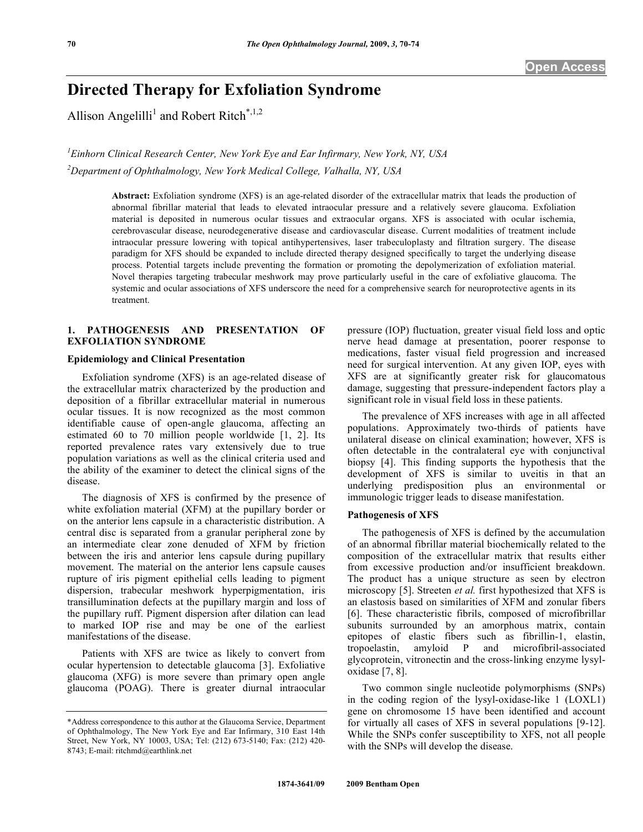# **Directed Therapy for Exfoliation Syndrome**

Allison Angelilli<sup>1</sup> and Robert Ritch<sup>\*,1,2</sup>

*1 Einhorn Clinical Research Center, New York Eye and Ear Infirmary, New York, NY, USA 2 Department of Ophthalmology, New York Medical College, Valhalla, NY, USA* 

> **Abstract:** Exfoliation syndrome (XFS) is an age-related disorder of the extracellular matrix that leads the production of abnormal fibrillar material that leads to elevated intraocular pressure and a relatively severe glaucoma. Exfoliation material is deposited in numerous ocular tissues and extraocular organs. XFS is associated with ocular ischemia, cerebrovascular disease, neurodegenerative disease and cardiovascular disease. Current modalities of treatment include intraocular pressure lowering with topical antihypertensives, laser trabeculoplasty and filtration surgery. The disease paradigm for XFS should be expanded to include directed therapy designed specifically to target the underlying disease process. Potential targets include preventing the formation or promoting the depolymerization of exfoliation material. Novel therapies targeting trabecular meshwork may prove particularly useful in the care of exfoliative glaucoma. The systemic and ocular associations of XFS underscore the need for a comprehensive search for neuroprotective agents in its treatment.

### **1. PATHOGENESIS AND PRESENTATION OF EXFOLIATION SYNDROME**

#### **Epidemiology and Clinical Presentation**

 Exfoliation syndrome (XFS) is an age-related disease of the extracellular matrix characterized by the production and deposition of a fibrillar extracellular material in numerous ocular tissues. It is now recognized as the most common identifiable cause of open-angle glaucoma, affecting an estimated 60 to 70 million people worldwide [1, 2]. Its reported prevalence rates vary extensively due to true population variations as well as the clinical criteria used and the ability of the examiner to detect the clinical signs of the disease.

 The diagnosis of XFS is confirmed by the presence of white exfoliation material (XFM) at the pupillary border or on the anterior lens capsule in a characteristic distribution. A central disc is separated from a granular peripheral zone by an intermediate clear zone denuded of XFM by friction between the iris and anterior lens capsule during pupillary movement. The material on the anterior lens capsule causes rupture of iris pigment epithelial cells leading to pigment dispersion, trabecular meshwork hyperpigmentation, iris transillumination defects at the pupillary margin and loss of the pupillary ruff. Pigment dispersion after dilation can lead to marked IOP rise and may be one of the earliest manifestations of the disease.

 Patients with XFS are twice as likely to convert from ocular hypertension to detectable glaucoma [3]. Exfoliative glaucoma (XFG) is more severe than primary open angle glaucoma (POAG). There is greater diurnal intraocular

pressure (IOP) fluctuation, greater visual field loss and optic nerve head damage at presentation, poorer response to medications, faster visual field progression and increased need for surgical intervention. At any given IOP, eyes with XFS are at significantly greater risk for glaucomatous damage, suggesting that pressure-independent factors play a significant role in visual field loss in these patients.

 The prevalence of XFS increases with age in all affected populations. Approximately two-thirds of patients have unilateral disease on clinical examination; however, XFS is often detectable in the contralateral eye with conjunctival biopsy [4]. This finding supports the hypothesis that the development of XFS is similar to uveitis in that an underlying predisposition plus an environmental or immunologic trigger leads to disease manifestation.

#### **Pathogenesis of XFS**

 The pathogenesis of XFS is defined by the accumulation of an abnormal fibrillar material biochemically related to the composition of the extracellular matrix that results either from excessive production and/or insufficient breakdown. The product has a unique structure as seen by electron microscopy [5]. Streeten *et al.* first hypothesized that XFS is an elastosis based on similarities of XFM and zonular fibers [6]. These characteristic fibrils, composed of microfibrillar subunits surrounded by an amorphous matrix, contain epitopes of elastic fibers such as fibrillin-1, elastin, tropoelastin, amyloid P and microfibril-associated glycoprotein, vitronectin and the cross-linking enzyme lysyloxidase [7, 8].

 Two common single nucleotide polymorphisms (SNPs) in the coding region of the lysyl-oxidase-like 1 (LOXL1) gene on chromosome 15 have been identified and account for virtually all cases of XFS in several populations [9-12]. While the SNPs confer susceptibility to XFS, not all people with the SNPs will develop the disease.

<sup>\*</sup>Address correspondence to this author at the Glaucoma Service, Department of Ophthalmology, The New York Eye and Ear Infirmary, 310 East 14th Street, New York, NY 10003, USA; Tel: (212) 673-5140; Fax: (212) 420- 8743; E-mail: ritchmd@earthlink.net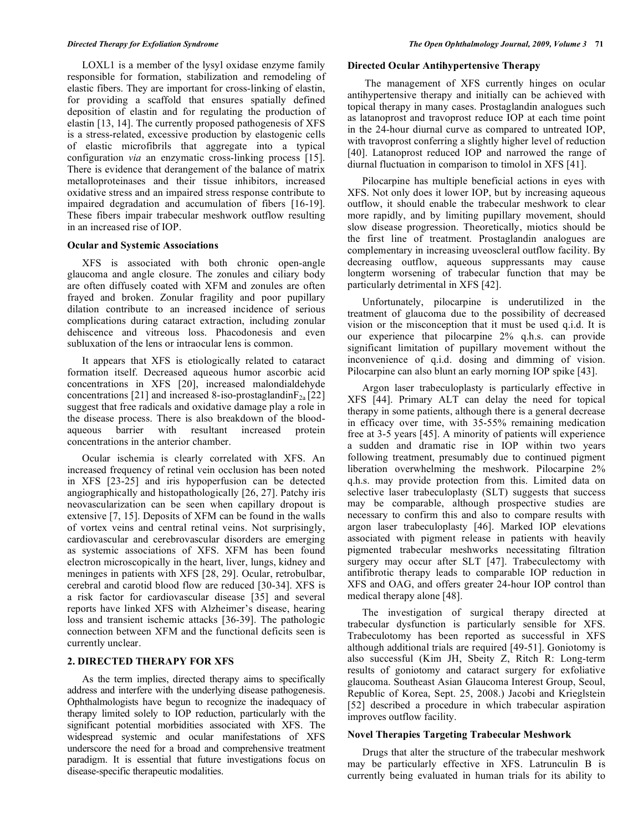LOXL1 is a member of the lysyl oxidase enzyme family responsible for formation, stabilization and remodeling of elastic fibers. They are important for cross-linking of elastin, for providing a scaffold that ensures spatially defined deposition of elastin and for regulating the production of elastin [13, 14]. The currently proposed pathogenesis of XFS is a stress-related, excessive production by elastogenic cells of elastic microfibrils that aggregate into a typical configuration *via* an enzymatic cross-linking process [15]. There is evidence that derangement of the balance of matrix metalloproteinases and their tissue inhibitors, increased oxidative stress and an impaired stress response contribute to impaired degradation and accumulation of fibers [16-19]. These fibers impair trabecular meshwork outflow resulting in an increased rise of IOP.

#### **Ocular and Systemic Associations**

 XFS is associated with both chronic open-angle glaucoma and angle closure. The zonules and ciliary body are often diffusely coated with XFM and zonules are often frayed and broken. Zonular fragility and poor pupillary dilation contribute to an increased incidence of serious complications during cataract extraction, including zonular dehiscence and vitreous loss. Phacodonesis and even subluxation of the lens or intraocular lens is common.

 It appears that XFS is etiologically related to cataract formation itself. Decreased aqueous humor ascorbic acid concentrations in XFS [20], increased malondialdehyde concentrations [21] and increased 8-iso-prostaglandin $F_{2a}$  [22] suggest that free radicals and oxidative damage play a role in the disease process. There is also breakdown of the bloodaqueous barrier with resultant increased protein concentrations in the anterior chamber.

 Ocular ischemia is clearly correlated with XFS. An increased frequency of retinal vein occlusion has been noted in XFS [23-25] and iris hypoperfusion can be detected angiographically and histopathologically [26, 27]. Patchy iris neovascularization can be seen when capillary dropout is extensive [7, 15]. Deposits of XFM can be found in the walls of vortex veins and central retinal veins. Not surprisingly, cardiovascular and cerebrovascular disorders are emerging as systemic associations of XFS. XFM has been found electron microscopically in the heart, liver, lungs, kidney and meninges in patients with XFS [28, 29]. Ocular, retrobulbar, cerebral and carotid blood flow are reduced [30-34]. XFS is a risk factor for cardiovascular disease [35] and several reports have linked XFS with Alzheimer's disease, hearing loss and transient ischemic attacks [36-39]. The pathologic connection between XFM and the functional deficits seen is currently unclear.

# **2. DIRECTED THERAPY FOR XFS**

 As the term implies, directed therapy aims to specifically address and interfere with the underlying disease pathogenesis. Ophthalmologists have begun to recognize the inadequacy of therapy limited solely to IOP reduction, particularly with the significant potential morbidities associated with XFS. The widespread systemic and ocular manifestations of XFS underscore the need for a broad and comprehensive treatment paradigm. It is essential that future investigations focus on disease-specific therapeutic modalities.

#### **Directed Ocular Antihypertensive Therapy**

 The management of XFS currently hinges on ocular antihypertensive therapy and initially can be achieved with topical therapy in many cases. Prostaglandin analogues such as latanoprost and travoprost reduce IOP at each time point in the 24-hour diurnal curve as compared to untreated IOP, with travoprost conferring a slightly higher level of reduction [40]. Latanoprost reduced IOP and narrowed the range of diurnal fluctuation in comparison to timolol in XFS [41].

 Pilocarpine has multiple beneficial actions in eyes with XFS. Not only does it lower IOP, but by increasing aqueous outflow, it should enable the trabecular meshwork to clear more rapidly, and by limiting pupillary movement, should slow disease progression. Theoretically, miotics should be the first line of treatment. Prostaglandin analogues are complementary in increasing uveoscleral outflow facility. By decreasing outflow, aqueous suppressants may cause longterm worsening of trabecular function that may be particularly detrimental in XFS [42].

 Unfortunately, pilocarpine is underutilized in the treatment of glaucoma due to the possibility of decreased vision or the misconception that it must be used q.i.d. It is our experience that pilocarpine 2% q.h.s. can provide significant limitation of pupillary movement without the inconvenience of q.i.d. dosing and dimming of vision. Pilocarpine can also blunt an early morning IOP spike [43].

 Argon laser trabeculoplasty is particularly effective in XFS [44]. Primary ALT can delay the need for topical therapy in some patients, although there is a general decrease in efficacy over time, with 35-55% remaining medication free at 3-5 years [45]. A minority of patients will experience a sudden and dramatic rise in IOP within two years following treatment, presumably due to continued pigment liberation overwhelming the meshwork. Pilocarpine 2% q.h.s. may provide protection from this. Limited data on selective laser trabeculoplasty (SLT) suggests that success may be comparable, although prospective studies are necessary to confirm this and also to compare results with argon laser trabeculoplasty [46]. Marked IOP elevations associated with pigment release in patients with heavily pigmented trabecular meshworks necessitating filtration surgery may occur after SLT [47]. Trabeculectomy with antifibrotic therapy leads to comparable IOP reduction in XFS and OAG, and offers greater 24-hour IOP control than medical therapy alone [48].

 The investigation of surgical therapy directed at trabecular dysfunction is particularly sensible for XFS. Trabeculotomy has been reported as successful in XFS although additional trials are required [49-51]. Goniotomy is also successful (Kim JH, Sbeity Z, Ritch R: Long-term results of goniotomy and cataract surgery for exfoliative glaucoma. Southeast Asian Glaucoma Interest Group, Seoul, Republic of Korea, Sept. 25, 2008.) Jacobi and Krieglstein [52] described a procedure in which trabecular aspiration improves outflow facility.

#### **Novel Therapies Targeting Trabecular Meshwork**

 Drugs that alter the structure of the trabecular meshwork may be particularly effective in XFS. Latrunculin B is currently being evaluated in human trials for its ability to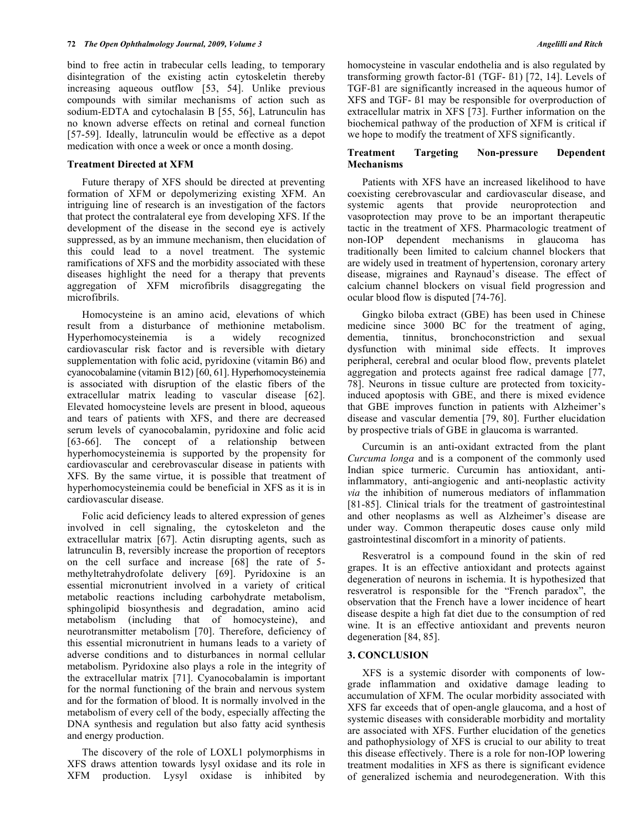bind to free actin in trabecular cells leading, to temporary disintegration of the existing actin cytoskeletin thereby increasing aqueous outflow [53, 54]. Unlike previous compounds with similar mechanisms of action such as sodium-EDTA and cytochalasin B [55, 56], Latrunculin has no known adverse effects on retinal and corneal function [57-59]. Ideally, latrunculin would be effective as a depot medication with once a week or once a month dosing.

#### **Treatment Directed at XFM**

 Future therapy of XFS should be directed at preventing formation of XFM or depolymerizing existing XFM. An intriguing line of research is an investigation of the factors that protect the contralateral eye from developing XFS. If the development of the disease in the second eye is actively suppressed, as by an immune mechanism, then elucidation of this could lead to a novel treatment. The systemic ramifications of XFS and the morbidity associated with these diseases highlight the need for a therapy that prevents aggregation of XFM microfibrils disaggregating the microfibrils.

 Homocysteine is an amino acid, elevations of which result from a disturbance of methionine metabolism. Hyperhomocysteinemia is a widely recognized cardiovascular risk factor and is reversible with dietary supplementation with folic acid, pyridoxine (vitamin B6) and cyanocobalamine (vitamin B12) [60, 61]. Hyperhomocysteinemia is associated with disruption of the elastic fibers of the extracellular matrix leading to vascular disease [62]. Elevated homocysteine levels are present in blood, aqueous and tears of patients with XFS, and there are decreased serum levels of cyanocobalamin, pyridoxine and folic acid [63-66]. The concept of a relationship between hyperhomocysteinemia is supported by the propensity for cardiovascular and cerebrovascular disease in patients with XFS. By the same virtue, it is possible that treatment of hyperhomocysteinemia could be beneficial in XFS as it is in cardiovascular disease.

 Folic acid deficiency leads to altered expression of genes involved in cell signaling, the cytoskeleton and the extracellular matrix [67]. Actin disrupting agents, such as latrunculin B, reversibly increase the proportion of receptors on the cell surface and increase [68] the rate of 5 methyltetrahydrofolate delivery [69]. Pyridoxine is an essential micronutrient involved in a variety of critical metabolic reactions including carbohydrate metabolism, sphingolipid biosynthesis and degradation, amino acid metabolism (including that of homocysteine), and neurotransmitter metabolism [70]. Therefore, deficiency of this essential micronutrient in humans leads to a variety of adverse conditions and to disturbances in normal cellular metabolism. Pyridoxine also plays a role in the integrity of the extracellular matrix [71]. Cyanocobalamin is important for the normal functioning of the brain and nervous system and for the formation of blood. It is normally involved in the metabolism of every cell of the body, especially affecting the DNA synthesis and regulation but also fatty acid synthesis and energy production.

 The discovery of the role of LOXL1 polymorphisms in XFS draws attention towards lysyl oxidase and its role in XFM production. Lysyl oxidase is inhibited by homocysteine in vascular endothelia and is also regulated by transforming growth factor-ß1 (TGF- ß1) [72, 14]. Levels of TGF-ß1 are significantly increased in the aqueous humor of XFS and TGF- ß1 may be responsible for overproduction of extracellular matrix in XFS [73]. Further information on the biochemical pathway of the production of XFM is critical if we hope to modify the treatment of XFS significantly.

## **Treatment Targeting Non-pressure Dependent Mechanisms**

 Patients with XFS have an increased likelihood to have coexisting cerebrovascular and cardiovascular disease, and systemic agents that provide neuroprotection and vasoprotection may prove to be an important therapeutic tactic in the treatment of XFS. Pharmacologic treatment of non-IOP dependent mechanisms in glaucoma has traditionally been limited to calcium channel blockers that are widely used in treatment of hypertension, coronary artery disease, migraines and Raynaud's disease. The effect of calcium channel blockers on visual field progression and ocular blood flow is disputed [74-76].

 Gingko biloba extract (GBE) has been used in Chinese medicine since 3000 BC for the treatment of aging, dementia, tinnitus, bronchoconstriction and sexual dysfunction with minimal side effects. It improves peripheral, cerebral and ocular blood flow, prevents platelet aggregation and protects against free radical damage [77, 78]. Neurons in tissue culture are protected from toxicityinduced apoptosis with GBE, and there is mixed evidence that GBE improves function in patients with Alzheimer's disease and vascular dementia [79, 80]. Further elucidation by prospective trials of GBE in glaucoma is warranted.

 Curcumin is an anti-oxidant extracted from the plant *Curcuma longa* and is a component of the commonly used Indian spice turmeric. Curcumin has antioxidant, antiinflammatory, anti-angiogenic and anti-neoplastic activity *via* the inhibition of numerous mediators of inflammation [81-85]. Clinical trials for the treatment of gastrointestinal and other neoplasms as well as Alzheimer's disease are under way. Common therapeutic doses cause only mild gastrointestinal discomfort in a minority of patients.

 Resveratrol is a compound found in the skin of red grapes. It is an effective antioxidant and protects against degeneration of neurons in ischemia. It is hypothesized that resveratrol is responsible for the "French paradox", the observation that the French have a lower incidence of heart disease despite a high fat diet due to the consumption of red wine. It is an effective antioxidant and prevents neuron degeneration [84, 85].

#### **3. CONCLUSION**

 XFS is a systemic disorder with components of lowgrade inflammation and oxidative damage leading to accumulation of XFM. The ocular morbidity associated with XFS far exceeds that of open-angle glaucoma, and a host of systemic diseases with considerable morbidity and mortality are associated with XFS. Further elucidation of the genetics and pathophysiology of XFS is crucial to our ability to treat this disease effectively. There is a role for non-IOP lowering treatment modalities in XFS as there is significant evidence of generalized ischemia and neurodegeneration. With this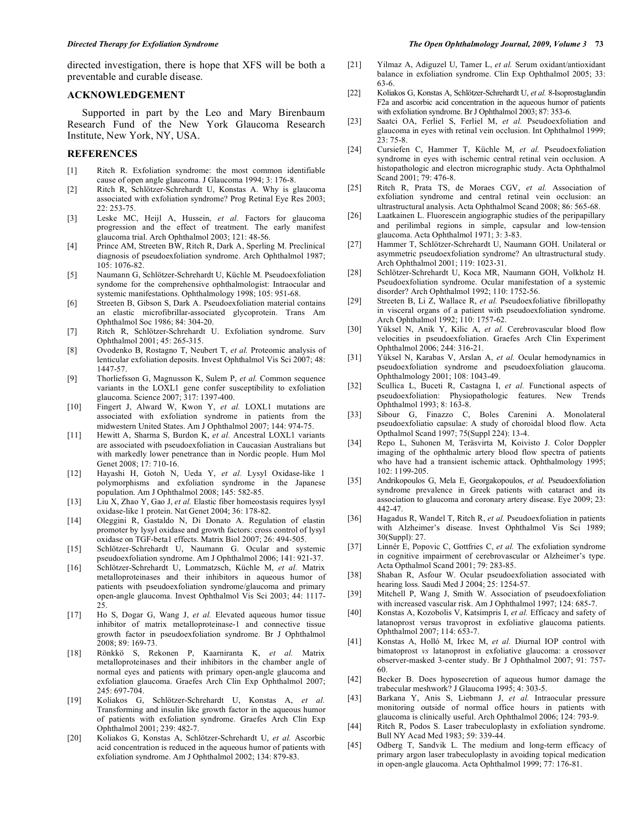directed investigation, there is hope that XFS will be both a preventable and curable disease.

#### **ACKNOWLEDGEMENT**

 Supported in part by the Leo and Mary Birenbaum Research Fund of the New York Glaucoma Research Institute, New York, NY, USA.

### **REFERENCES**

- [1] Ritch R. Exfoliation syndrome: the most common identifiable cause of open angle glaucoma. J Glaucoma 1994; 3: 176-8.
- [2] Ritch R, Schlötzer-Schrehardt U, Konstas A. Why is glaucoma associated with exfoliation syndrome? Prog Retinal Eye Res 2003; 22: 253-75.
- [3] Leske MC, Heijl A, Hussein, *et al.* Factors for glaucoma progression and the effect of treatment. The early manifest glaucoma trial. Arch Ophthalmol 2003; 121: 48-56.
- [4] Prince AM, Streeten BW, Ritch R, Dark A, Sperling M. Preclinical diagnosis of pseudoexfoliation syndrome. Arch Ophthalmol 1987; 105: 1076-82.
- [5] Naumann G, Schlötzer-Schrehardt U, Küchle M. Pseudoexfoliation syndome for the comprehensive ophthalmologist: Intraocular and systemic manifestations. Ophthalmology 1998; 105: 951-68.
- [6] Streeten B, Gibson S, Dark A. Pseudoexfoliation material contains an elastic microfibrillar-associated glycoprotein. Trans Am Ophthalmol Soc 1986; 84: 304-20.
- [7] Ritch R, Schlötzer-Schrehardt U. Exfoliation syndrome. Surv Ophthalmol 2001; 45: 265-315.
- [8] Ovodenko B, Rostagno T, Neubert T, *et al.* Proteomic analysis of lenticular exfoliation deposits. Invest Ophthalmol Vis Sci 2007; 48: 1447-57.
- [9] Thorliefsson G, Magnusson K, Sulem P, *et al.* Common sequence variants in the LOXL1 gene confer susceptibility to exfoliation glaucoma. Science 2007; 317: 1397-400.
- [10] Fingert J, Alward W, Kwon Y, *et al.* LOXL1 mutations are associated with exfoliation syndrome in patients from the midwestern United States. Am J Ophthalmol 2007; 144: 974-75.
- [11] Hewitt A, Sharma S, Burdon K, *et al.* Ancestral LOXL1 variants are associated with pseudoexfoliation in Caucasian Australians but with markedly lower penetrance than in Nordic people. Hum Mol Genet 2008; 17: 710-16.
- [12] Hayashi H, Gotoh N, Ueda Y, *et al.* Lysyl Oxidase-like 1 polymorphisms and exfoliation syndrome in the Japanese population. Am J Ophthalmol 2008; 145: 582-85.
- [13] Liu X, Zhao Y, Gao J, *et al.* Elastic fiber homeostasis requires lysyl oxidase-like 1 protein. Nat Genet 2004; 36: 178-82.
- [14] Oleggini R, Gastaldo N, Di Donato A. Regulation of elastin promoter by lysyl oxidase and growth factors: cross control of lysyl oxidase on TGF-beta1 effects. Matrix Biol 2007; 26: 494-505.
- [15] Schlötzer-Schrehardt U, Naumann G. Ocular and systemic pseudoexfoliation syndrome. Am J Ophthalmol 2006; 141: 921-37.
- [16] Schlötzer-Schrehardt U, Lommatzsch, Küchle M, *et al.* Matrix metalloproteinases and their inhibitors in aqueous humor of patients with pseudoexfoliation syndrome/glaucoma and primary open-angle glaucoma. Invest Ophthalmol Vis Sci 2003; 44: 1117- 25.
- [17] Ho S, Dogar G, Wang J, *et al.* Elevated aqueous humor tissue inhibitor of matrix metalloproteinase-1 and connective tissue growth factor in pseudoexfoliation syndrome. Br J Ophthalmol 2008; 89: 169-73.
- [18] Rönkkö S, Rekonen P, Kaarniranta K, *et al.* Matrix metalloproteinases and their inhibitors in the chamber angle of normal eyes and patients with primary open-angle glaucoma and exfoliation glaucoma. Graefes Arch Clin Exp Ophthalmol 2007; 245: 697-704.
- [19] Koliakos G, Schlötzer-Schrehardt U, Konstas A, *et al.*  Transforming and insulin like growth factor in the aqueous humor of patients with exfoliation syndrome. Graefes Arch Clin Exp Ophthalmol 2001; 239: 482-7.
- [20] Koliakos G, Konstas A, Schlötzer-Schrehardt U, *et al.* Ascorbic acid concentration is reduced in the aqueous humor of patients with exfoliation syndrome. Am J Ophthalmol 2002; 134: 879-83.
- [21] Yilmaz A, Adiguzel U, Tamer L, *et al.* Serum oxidant/antioxidant balance in exfoliation syndrome. Clin Exp Ophthalmol 2005; 33: 63-6.
- [22] Koliakos G, Konstas A, Schlötzer-Schrehardt U, *et al.* 8-Isoprostaglandin F2a and ascorbic acid concentration in the aqueous humor of patients with exfoliation syndrome. Br J Ophthalmol 2003; 87: 353-6.
- [23] Saatci OA, Ferliel S, Ferliel M, *et al.* Pseudoexfoliation and glaucoma in eyes with retinal vein occlusion. Int Ophthalmol 1999;  $23:75-8.$
- [24] Cursiefen C, Hammer T, Küchle M, *et al.* Pseudoexfoliation syndrome in eyes with ischemic central retinal vein occlusion. A histopathologic and electron micrographic study. Acta Ophthalmol Scand 2001; 79: 476-8.
- [25] Ritch R, Prata TS, de Moraes CGV, *et al.* Association of exfoliation syndrome and central retinal vein occlusion: an ultrastructural analysis. Acta Ophthalmol Scand 2008; 86: 565-68.
- [26] Laatkainen L. Fluorescein angiographic studies of the peripapillary and perilimbal regions in simple, capsular and low-tension glaucoma. Acta Ophthalmol 1971; 3: 3-83.
- [27] Hammer T, Schlötzer-Schrehardt U, Naumann GOH. Unilateral or asymmetric pseudoexfoliation syndrome? An ultrastructural study. Arch Ophthalmol 2001; 119: 1023-31.
- [28] Schlötzer-Schrehardt U, Koca MR, Naumann GOH, Volkholz H. Pseudoexfoliation syndrome. Ocular manifestation of a systemic disorder? Arch Ophthalmol 1992; 110: 1752-56.
- [29] Streeten B, Li Z, Wallace R, *et al.* Pseudoexfoliative fibrillopathy in visceral organs of a patient with pseudoexfoliation syndrome. Arch Ophthalmol 1992; 110: 1757-62.
- [30] Yüksel N, Anik Y, Kilic A, *et al.* Cerebrovascular blood flow velocities in pseudoexfoliation. Graefes Arch Clin Experiment Ophthalmol 2006; 244: 316-21.
- [31] Yüksel N, Karabas V, Arslan A, *et al.* Ocular hemodynamics in pseudoexfoliation syndrome and pseudoexfoliation glaucoma. Ophthalmology 2001; 108: 1043-49.
- [32] Scullica L, Buceti R, Castagna I, *et al.* Functional aspects of pseudoexfoliation: Physiopathologic features. New Trends Ophthalmol 1993; 8: 163-8.
- [33] Sibour G, Finazzo C, Boles Carenini A. Monolateral pseudoexfoliatio capsulae: A study of choroidal blood flow. Acta Opthalmol Scand 1997; 75(Suppl 224): 13-4.
- [34] Repo L, Suhonen M, Teräsvirta M, Koivisto J. Color Doppler imaging of the ophthalmic artery blood flow spectra of patients who have had a transient ischemic attack. Ophthalmology 1995; 102: 1199-205.
- [35] Andrikopoulos G, Mela E, Georgakopoulos, *et al.* Pseudoexfoliation syndrome prevalence in Greek patients with cataract and its association to glaucoma and coronary artery disease. Eye 2009; 23: 442-47.
- [36] Hagadus R, Wandel T, Ritch R, *et al.* Pseudoexfoliation in patients with Alzheimer's disease. Invest Ophthalmol Vis Sci 1989; 30(Suppl): 27.
- [37] Linnér E, Popovic C, Gottfries C, *et al.* The exfoliation syndrome in cognitive impairment of cerebrovascular or Alzheimer's type. Acta Opthalmol Scand 2001; 79: 283-85.
- [38] Shaban R, Asfour W. Ocular pseudoexfoliation associated with hearing loss. Saudi Med J 2004; 25: 1254-57.
- [39] Mitchell P, Wang J, Smith W. Association of pseudoexfoliation with increased vascular risk. Am J Ophthalmol 1997; 124: 685-7.
- [40] Konstas A, Kozobolis V, Katsimpris I, *et al.* Efficacy and safety of latanoprost versus travoprost in exfoliative glaucoma patients. Ophthalmol 2007; 114: 653-7.
- [41] Konstas A, Holló M, Irkec M, *et al.* Diurnal IOP control with bimatoprost *vs* latanoprost in exfoliative glaucoma: a crossover observer-masked 3-center study. Br J Ophthalmol 2007; 91: 757- 60.
- [42] Becker B. Does hyposecretion of aqueous humor damage the trabecular meshwork? J Glaucoma 1995; 4: 303-5.
- [43] Barkana Y, Anis S, Liebmann J, *et al.* Intraocular pressure monitoring outside of normal office hours in patients with glaucoma is clinically useful. Arch Ophthalmol 2006; 124: 793-9.
- [44] Ritch R, Podos S. Laser trabeculoplasty in exfoliation syndrome. Bull NY Acad Med 1983; 59: 339-44.
- [45] Odberg T, Sandvik L. The medium and long-term efficacy of primary argon laser trabeculoplasty in avoiding topical medication in open-angle glaucoma. Acta Ophthalmol 1999; 77: 176-81.